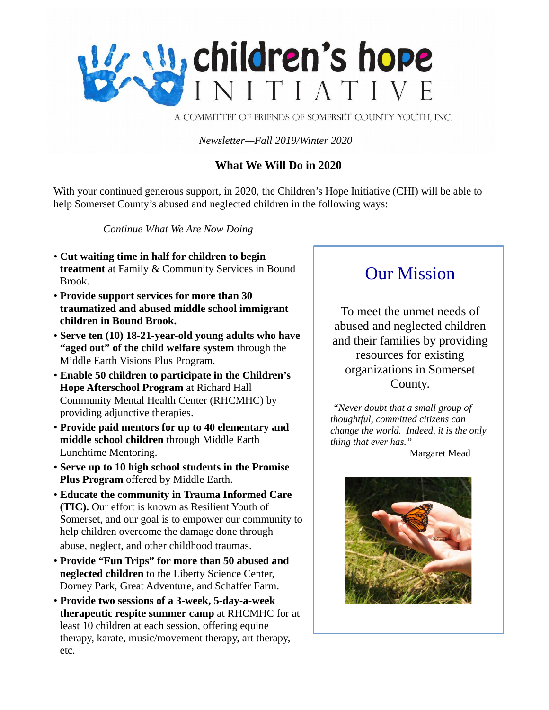

A COMMITTEE OF FRIENDS OF SOMERSET COUNTY YOUTH, INC.

*Newsletter—Fall 2019/Winter 2020*

## **What We Will Do in 2020**

With your continued generous support, in 2020, the Children's Hope Initiative (CHI) will be able to help Somerset County's abused and neglected children in the following ways:

*Continue What We Are Now Doing*

- **Cut waiting time in half for children to begin treatment** at Family & Community Services in Bound Brook.
- **Provide support services for more than 30 traumatized and abused middle school immigrant children in Bound Brook.**
- **Serve ten (10) 18-21-year-old young adults who have "aged out" of the child welfare system** through the Middle Earth Visions Plus Program.
- **Enable 50 children to participate in the Children's Hope Afterschool Program** at Richard Hall Community Mental Health Center (RHCMHC) by providing adjunctive therapies.
- **Provide paid mentors for up to 40 elementary and middle school children** through Middle Earth Lunchtime Mentoring.
- **Serve up to 10 high school students in the Promise Plus Program** offered by Middle Earth.
- **Educate the community in Trauma Informed Care (TIC).** Our effort is known as Resilient Youth of Somerset, and our goal is to empower our community to help children overcome the damage done through abuse, neglect, and other childhood traumas.
- **Provide "Fun Trips" for more than 50 abused and neglected children** to the Liberty Science Center, Dorney Park, Great Adventure, and Schaffer Farm.
- **Provide two sessions of a 3-week, 5-day-a-week therapeutic respite summer camp** at RHCMHC for at least 10 children at each session, offering equine therapy, karate, music/movement therapy, art therapy, etc.

# Our Mission

To meet the unmet needs of abused and neglected children and their families by providing resources for existing organizations in Somerset County.

*"Never doubt that a small group of thoughtful, committed citizens can change the world. Indeed, it is the only thing that ever has."*

Margaret Mead

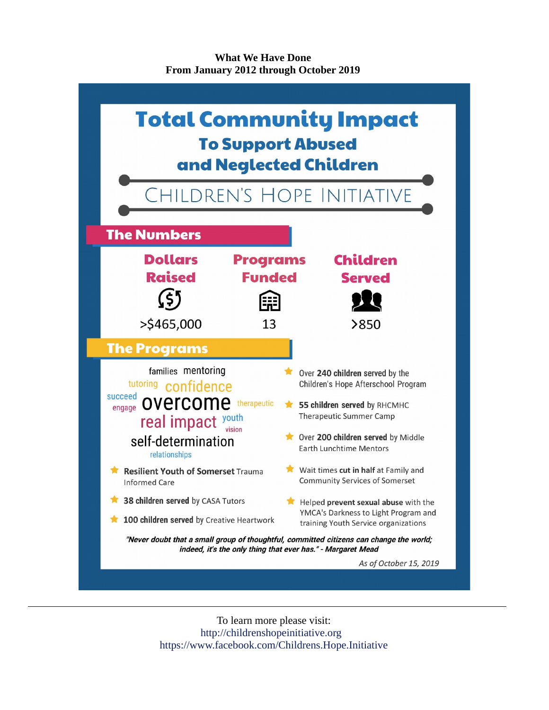**What We Have Done From January 2012 through October 2019**



To learn more please visit: http://childrenshopeinitiative.org https://www.facebook.com/Childrens.Hope.Initiative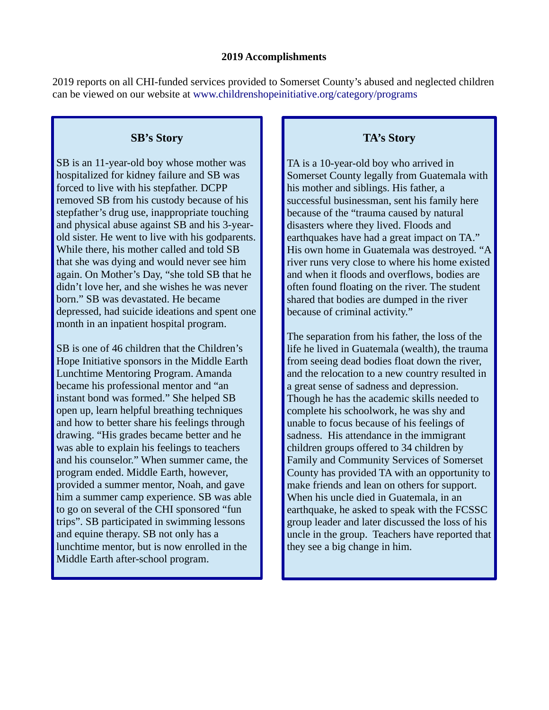2019 reports on all CHI-funded services provided to Somerset County's abused and neglected children can be viewed on our website at www.childrenshopeinitiative.org/category/programs

### **SB's Story**

SB is an 11-year-old boy whose mother was hospitalized for kidney failure and SB was forced to live with his stepfather. DCPP removed SB from his custody because of his stepfather's drug use, inappropriate touching and physical abuse against SB and his 3-yearold sister. He went to live with his godparents. While there, his mother called and told SB that she was dying and would never see him again. On Mother's Day, "she told SB that he didn't love her, and she wishes he was never born." SB was devastated. He became depressed, had suicide ideations and spent one month in an inpatient hospital program.

SB is one of 46 children that the Children's Hope Initiative sponsors in the Middle Earth Lunchtime Mentoring Program. Amanda became his professional mentor and "an instant bond was formed." She helped SB open up, learn helpful breathing techniques and how to better share his feelings through drawing. "His grades became better and he was able to explain his feelings to teachers and his counselor." When summer came, the program ended. Middle Earth, however, provided a summer mentor, Noah, and gave him a summer camp experience. SB was able to go on several of the CHI sponsored "fun trips". SB participated in swimming lessons and equine therapy. SB not only has a lunchtime mentor, but is now enrolled in the Middle Earth after-school program.

# **TA's Story**

TA is a 10-year-old boy who arrived in Somerset County legally from Guatemala with his mother and siblings. His father, a successful businessman, sent his family here because of the "trauma caused by natural disasters where they lived. Floods and earthquakes have had a great impact on TA." His own home in Guatemala was destroyed. "A river runs very close to where his home existed and when it floods and overflows, bodies are often found floating on the river. The student shared that bodies are dumped in the river because of criminal activity."

The separation from his father, the loss of the life he lived in Guatemala (wealth), the trauma from seeing dead bodies float down the river, and the relocation to a new country resulted in a great sense of sadness and depression. Though he has the academic skills needed to complete his schoolwork, he was shy and unable to focus because of his feelings of sadness. His attendance in the immigrant children groups offered to 34 children by Family and Community Services of Somerset County has provided TA with an opportunity to make friends and lean on others for support. When his uncle died in Guatemala, in an earthquake, he asked to speak with the FCSSC group leader and later discussed the loss of his uncle in the group. Teachers have reported that they see a big change in him.